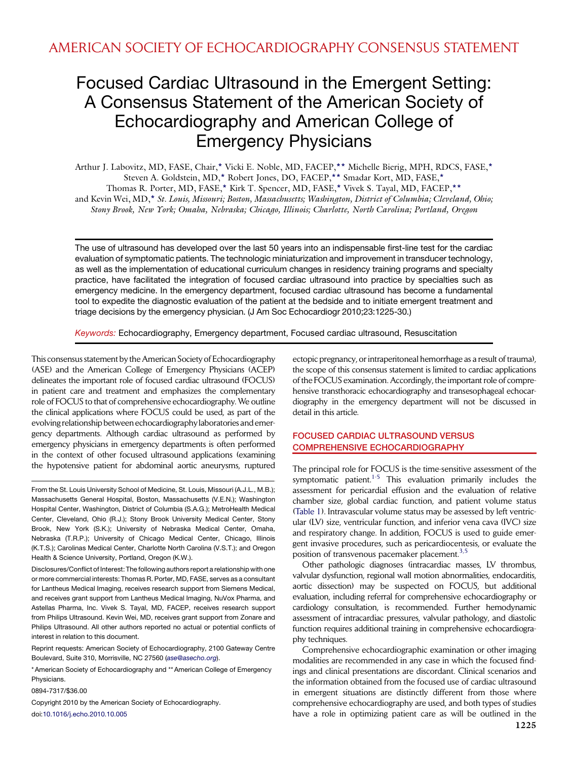# Focused Cardiac Ultrasound in the Emergent Setting: A Consensus Statement of the American Society of Echocardiography and American College of Emergency Physicians

Arthur J. Labovitz, MD, FASE, Chair,\* Vicki E. Noble, MD, FACEP,\*\* Michelle Bierig, MPH, RDCS, FASE,\* Steven A. Goldstein, MD,\* Robert Jones, DO, FACEP,\*\* Smadar Kort, MD, FASE,\*

Thomas R. Porter, MD, FASE,\* Kirk T. Spencer, MD, FASE,\* Vivek S. Tayal, MD, FACEP,\*\*

and Kevin Wei, MD,\* St. Louis, Missouri; Boston, Massachusetts; Washington, District of Columbia; Cleveland, Ohio; Stony Brook, New York; Omaha, Nebraska; Chicago, Illinois; Charlotte, North Carolina; Portland, Oregon

The use of ultrasound has developed over the last 50 years into an indispensable first-line test for the cardiac evaluation of symptomatic patients. The technologic miniaturization and improvement in transducer technology, as well as the implementation of educational curriculum changes in residency training programs and specialty practice, have facilitated the integration of focused cardiac ultrasound into practice by specialties such as emergency medicine. In the emergency department, focused cardiac ultrasound has become a fundamental tool to expedite the diagnostic evaluation of the patient at the bedside and to initiate emergent treatment and triage decisions by the emergency physician. (J Am Soc Echocardiogr 2010;23:1225-30.)

*Keywords:* Echocardiography, Emergency department, Focused cardiac ultrasound, Resuscitation

This consensus statement by the American Society of Echocardiography (ASE) and the American College of Emergency Physicians (ACEP) delineates the important role of focused cardiac ultrasound (FOCUS) in patient care and treatment and emphasizes the complementary role of FOCUS to that of comprehensive echocardiography. We outline the clinical applications where FOCUS could be used, as part of the evolving relationship between echocardiography laboratories and emergency departments. Although cardiac ultrasound as performed by emergency physicians in emergency departments is often performed in the context of other focused ultrasound applications (examining the hypotensive patient for abdominal aortic aneurysms, ruptured

From the St. Louis University School of Medicine, St. Louis, Missouri (A.J.L., M.B.); Massachusetts General Hospital, Boston, Massachusetts (V.E.N.); Washington Hospital Center, Washington, District of Columbia (S.A.G.); MetroHealth Medical Center, Cleveland, Ohio (R.J.); Stony Brook University Medical Center, Stony Brook, New York (S.K.); University of Nebraska Medical Center, Omaha, Nebraska (T.R.P.); University of Chicago Medical Center, Chicago, Illinois (K.T.S.); Carolinas Medical Center, Charlotte North Carolina (V.S.T.); and Oregon Health & Science University, Portland, Oregon (K.W.).

Disclosures/Conflict of Interest: The following authors report a relationship with one or more commercial interests: Thomas R. Porter, MD, FASE, serves as a consultant for Lantheus Medical Imaging, receives research support from Siemens Medical, and receives grant support from Lantheus Medical Imaging, NuVox Pharma, and Astellas Pharma, Inc. Vivek S. Tayal, MD, FACEP, receives research support from Philips Ultrasound. Kevin Wei, MD, receives grant support from Zonare and Philips Ultrasound. All other authors reported no actual or potential conflicts of interest in relation to this document.

Reprint requests: American Society of Echocardiography, 2100 Gateway Centre Boulevard, Suite 310, Morrisville, NC 27560 (*[ase@asecho.org](mailto:ase@asecho.org)*).

\* American Society of Echocardiography and \*\* American College of Emergency Physicians.

0894-7317/\$36.00

Copyright 2010 by the American Society of Echocardiography. doi[:10.1016/j.echo.2010.10.005](http://dx.doi.org/10.1016/j.echo.2010.10.005)

ectopic pregnancy, or intraperitoneal hemorrhage as a result of trauma), the scope of this consensus statement is limited to cardiac applications of the FOCUS examination. Accordingly, the important role of comprehensive transthoracic echocardiography and transesophageal echocardiography in the emergency department will not be discussed in detail in this article.

## FOCUSED CARDIAC ULTRASOUND VERSUS COMPREHENSIVE ECHOCARDIOGRAPHY

The principal role for FOCUS is the time-sensitive assessment of the symptomatic patient.<sup>[1-5](#page-4-0)</sup> This evaluation primarily includes the assessment for pericardial effusion and the evaluation of relative chamber size, global cardiac function, and patient volume status [\(Table 1\)](#page-1-0). Intravascular volume status may be assessed by left ventricular (LV) size, ventricular function, and inferior vena cava (IVC) size and respiratory change. In addition, FOCUS is used to guide emergent invasive procedures, such as pericardiocentesis, or evaluate the position of transvenous pacemaker placement.<sup>3,5</sup>

Other pathologic diagnoses (intracardiac masses, LV thrombus, valvular dysfunction, regional wall motion abnormalities, endocarditis, aortic dissection) may be suspected on FOCUS, but additional evaluation, including referral for comprehensive echocardiography or cardiology consultation, is recommended. Further hemodynamic assessment of intracardiac pressures, valvular pathology, and diastolic function requires additional training in comprehensive echocardiography techniques.

Comprehensive echocardiographic examination or other imaging modalities are recommended in any case in which the focused findings and clinical presentations are discordant. Clinical scenarios and the information obtained from the focused use of cardiac ultrasound in emergent situations are distinctly different from those where comprehensive echocardiography are used, and both types of studies have a role in optimizing patient care as will be outlined in the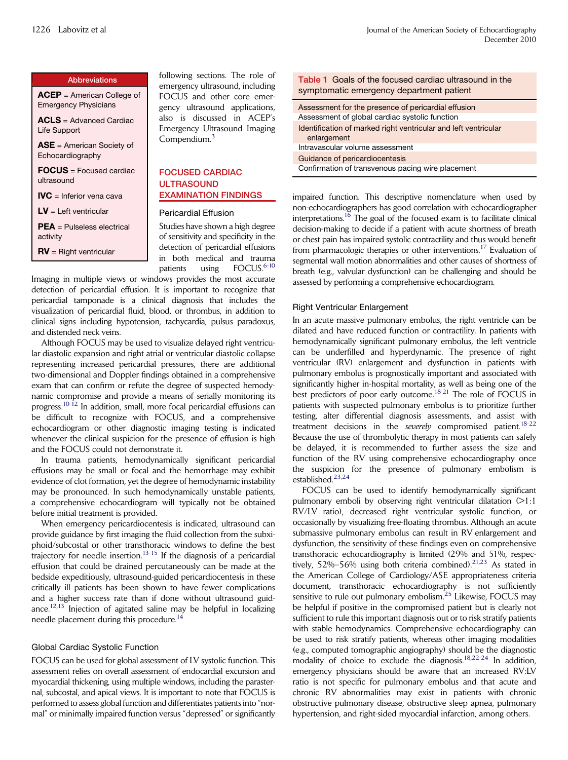#### Abbreviations

<span id="page-1-0"></span>ACEP = American College of Emergency Physicians

ACLS = Advanced Cardiac Life Support

ASE = American Society of Echocardiography

FOCUS = Focused cardiac ultrasound

 $IVC =$  Inferior vena cava

 $LV = I$  eft ventricular

PEA = Pulseless electrical activity

 $\mathbf{RV} = \text{Right}$  ventricular

following sections. The role of emergency ultrasound, including FOCUS and other core emergency ultrasound applications, also is discussed in ACEP's Emergency Ultrasound Imaging Compendium.<sup>[3](#page-4-0)</sup>

## FOCUSED CARDIAC ULTRASOUND EXAMINATION FINDINGS

#### Pericardial Effusion

Studies have shown a high degree of sensitivity and specificity in the detection of pericardial effusions in both medical and trauma patients using FOCUS.<sup>6-10</sup>

Imaging in multiple views or windows provides the most accurate detection of pericardial effusion. It is important to recognize that pericardial tamponade is a clinical diagnosis that includes the visualization of pericardial fluid, blood, or thrombus, in addition to clinical signs including hypotension, tachycardia, pulsus paradoxus, and distended neck veins.

Although FOCUS may be used to visualize delayed right ventricular diastolic expansion and right atrial or ventricular diastolic collapse representing increased pericardial pressures, there are additional two-dimensional and Doppler findings obtained in a comprehensive exam that can confirm or refute the degree of suspected hemodynamic compromise and provide a means of serially monitoring its progress.<sup>[10-12](#page-4-0)</sup> In addition, small, more focal pericardial effusions can be difficult to recognize with FOCUS, and a comprehensive echocardiogram or other diagnostic imaging testing is indicated whenever the clinical suspicion for the presence of effusion is high and the FOCUS could not demonstrate it.

In trauma patients, hemodynamically significant pericardial effusions may be small or focal and the hemorrhage may exhibit evidence of clot formation, yet the degree of hemodynamic instability may be pronounced. In such hemodynamically unstable patients, a comprehensive echocardiogram will typically not be obtained before initial treatment is provided.

When emergency pericardiocentesis is indicated, ultrasound can provide guidance by first imaging the fluid collection from the subxiphoid/subcostal or other transthoracic windows to define the best trajectory for needle insertion.<sup>[13-15](#page-4-0)</sup> If the diagnosis of a pericardial effusion that could be drained percutaneously can be made at the bedside expeditiously, ultrasound-guided pericardiocentesis in these critically ill patients has been shown to have fewer complications and a higher success rate than if done without ultrasound guidance.[12,13](#page-4-0) Injection of agitated saline may be helpful in localizing needle placement during this procedure.<sup>14</sup>

## Global Cardiac Systolic Function

FOCUS can be used for global assessment of LV systolic function. This assessment relies on overall assessment of endocardial excursion and myocardial thickening, using multiple windows, including the parasternal, subcostal, and apical views. It is important to note that FOCUS is performed to assess global function and differentiates patients into ''normal'' or minimally impaired function versus ''depressed'' or significantly

| <b>Table 1</b> Goals of the focused cardiac ultrasound in the |  |
|---------------------------------------------------------------|--|
| symptomatic emergency department patient                      |  |

| Assessment for the presence of pericardial effusion                            |
|--------------------------------------------------------------------------------|
| Assessment of global cardiac systolic function                                 |
| Identification of marked right ventricular and left ventricular<br>enlargement |
| Intravascular volume assessment                                                |
| Guidance of pericardiocentesis                                                 |
| Confirmation of transvenous pacing wire placement                              |

impaired function. This descriptive nomenclature when used by non-echocardiographers has good correlation with echocardiographer interpretations.[16](#page-5-0) The goal of the focused exam is to facilitate clinical decision-making to decide if a patient with acute shortness of breath or chest pain has impaired systolic contractility and thus would benefit from pharmacologic therapies or other interventions.<sup>[17](#page-5-0)</sup> Evaluation of segmental wall motion abnormalities and other causes of shortness of breath (e.g., valvular dysfunction) can be challenging and should be assessed by performing a comprehensive echocardiogram.

## Right Ventricular Enlargement

In an acute massive pulmonary embolus, the right ventricle can be dilated and have reduced function or contractility. In patients with hemodynamically significant pulmonary embolus, the left ventricle can be underfilled and hyperdynamic. The presence of right ventricular (RV) enlargement and dysfunction in patients with pulmonary embolus is prognostically important and associated with significantly higher in-hospital mortality, as well as being one of the best predictors of poor early outcome.<sup>[18-21](#page-5-0)</sup> The role of FOCUS in patients with suspected pulmonary embolus is to prioritize further testing, alter differential diagnosis assessments, and assist with treatment decisions in the severely compromised patient.<sup>18-22</sup> Because the use of thrombolytic therapy in most patients can safely be delayed, it is recommended to further assess the size and function of the RV using comprehensive echocardiography once the suspicion for the presence of pulmonary embolism is established.<sup>[23,24](#page-5-0)</sup>

FOCUS can be used to identify hemodynamically significant pulmonary emboli by observing right ventricular dilatation (>1:1 RV/LV ratio), decreased right ventricular systolic function, or occasionally by visualizing free-floating thrombus. Although an acute submassive pulmonary embolus can result in RV enlargement and dysfunction, the sensitivity of these findings even on comprehensive transthoracic echocardiography is limited (29% and 51%, respec-tively, 52%–56% using both criteria combined).<sup>[21,23](#page-5-0)</sup> As stated in the American College of Cardiology/ASE appropriateness criteria document, transthoracic echocardiography is not sufficiently sensitive to rule out pulmonary embolism.<sup>[25](#page-5-0)</sup> Likewise, FOCUS may be helpful if positive in the compromised patient but is clearly not sufficient to rule this important diagnosis out or to risk stratify patients with stable hemodynamics. Comprehensive echocardiography can be used to risk stratify patients, whereas other imaging modalities (e.g., computed tomographic angiography) should be the diagnostic modality of choice to exclude the diagnosis[.18,22-24](#page-5-0) In addition, emergency physicians should be aware that an increased RV:LV ratio is not specific for pulmonary embolus and that acute and chronic RV abnormalities may exist in patients with chronic obstructive pulmonary disease, obstructive sleep apnea, pulmonary hypertension, and right-sided myocardial infarction, among others.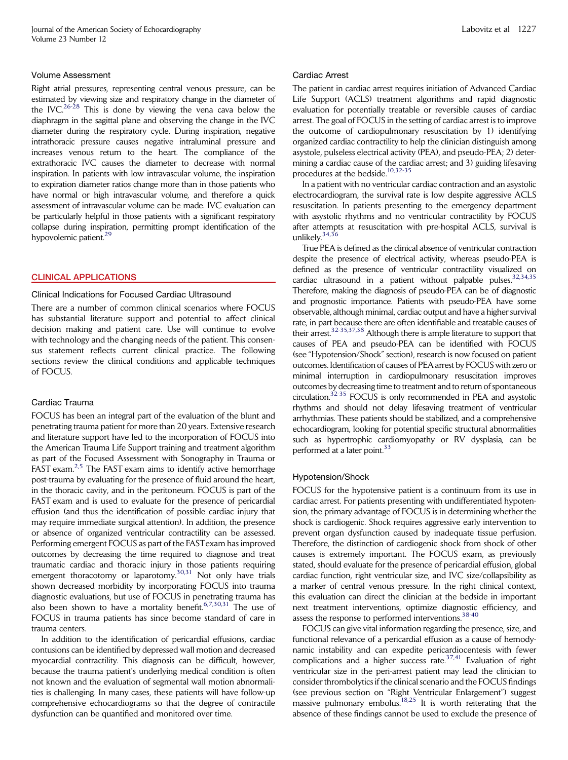#### Volume Assessment

Right atrial pressures, representing central venous pressure, can be estimated by viewing size and respiratory change in the diameter of the IVC. $26-28$  This is done by viewing the vena cava below the diaphragm in the sagittal plane and observing the change in the IVC diameter during the respiratory cycle. During inspiration, negative intrathoracic pressure causes negative intraluminal pressure and increases venous return to the heart. The compliance of the extrathoracic IVC causes the diameter to decrease with normal inspiration. In patients with low intravascular volume, the inspiration to expiration diameter ratios change more than in those patients who have normal or high intravascular volume, and therefore a quick assessment of intravascular volume can be made. IVC evaluation can be particularly helpful in those patients with a significant respiratory collapse during inspiration, permitting prompt identification of the hypovolemic patient.<sup>[29](#page-5-0)</sup>

#### CLINICAL APPLICATIONS

## Clinical Indications for Focused Cardiac Ultrasound

There are a number of common clinical scenarios where FOCUS has substantial literature support and potential to affect clinical decision making and patient care. Use will continue to evolve with technology and the changing needs of the patient. This consensus statement reflects current clinical practice. The following sections review the clinical conditions and applicable techniques of FOCUS.

#### Cardiac Trauma

FOCUS has been an integral part of the evaluation of the blunt and penetrating trauma patient for more than 20 years. Extensive research and literature support have led to the incorporation of FOCUS into the American Trauma Life Support training and treatment algorithm as part of the Focused Assessment with Sonography in Trauma or FAST exam.<sup>[2,5](#page-4-0)</sup> The FAST exam aims to identify active hemorrhage post-trauma by evaluating for the presence of fluid around the heart, in the thoracic cavity, and in the peritoneum. FOCUS is part of the FAST exam and is used to evaluate for the presence of pericardial effusion (and thus the identification of possible cardiac injury that may require immediate surgical attention). In addition, the presence or absence of organized ventricular contractility can be assessed. Performing emergent FOCUS as part of the FASTexam has improved outcomes by decreasing the time required to diagnose and treat traumatic cardiac and thoracic injury in those patients requiring emergent thoracotomy or laparotomy.<sup>[30,31](#page-5-0)</sup> Not only have trials shown decreased morbidity by incorporating FOCUS into trauma diagnostic evaluations, but use of FOCUS in penetrating trauma has also been shown to have a mortality benefit.<sup>[6,7,30,31](#page-4-0)</sup> The use of FOCUS in trauma patients has since become standard of care in trauma centers.

In addition to the identification of pericardial effusions, cardiac contusions can be identified by depressed wall motion and decreased myocardial contractility. This diagnosis can be difficult, however, because the trauma patient's underlying medical condition is often not known and the evaluation of segmental wall motion abnormalities is challenging. In many cases, these patients will have follow-up comprehensive echocardiograms so that the degree of contractile dysfunction can be quantified and monitored over time.

#### Cardiac Arrest

The patient in cardiac arrest requires initiation of Advanced Cardiac Life Support (ACLS) treatment algorithms and rapid diagnostic evaluation for potentially treatable or reversible causes of cardiac arrest. The goal of FOCUS in the setting of cardiac arrest is to improve the outcome of cardiopulmonary resuscitation by 1) identifying organized cardiac contractility to help the clinician distinguish among asystole, pulseless electrical activity (PEA), and pseudo-PEA; 2) determining a cardiac cause of the cardiac arrest; and 3) guiding lifesaving procedures at the bedside.<sup>[10,32-35](#page-4-0)</sup>

In a patient with no ventricular cardiac contraction and an asystolic electrocardiogram, the survival rate is low despite aggressive ACLS resuscitation. In patients presenting to the emergency department with asystolic rhythms and no ventricular contractility by FOCUS after attempts at resuscitation with pre-hospital ACLS, survival is unlikely.[34,36](#page-5-0)

True PEA is defined as the clinical absence of ventricular contraction despite the presence of electrical activity, whereas pseudo-PEA is defined as the presence of ventricular contractility visualized on cardiac ultrasound in a patient without palpable pulses.  $32,34,35$ Therefore, making the diagnosis of pseudo-PEA can be of diagnostic and prognostic importance. Patients with pseudo-PEA have some observable, although minimal, cardiac output and have a higher survival rate, in part because there are often identifiable and treatable causes of their arrest.<sup>32-35,37,38</sup> Although there is ample literature to support that causes of PEA and pseudo-PEA can be identified with FOCUS (see ''Hypotension/Shock'' section), research is now focused on patient outcomes. Identification of causes of PEA arrest by FOCUS with zero or minimal interruption in cardiopulmonary resuscitation improves outcomes by decreasing time to treatment and to return of spontaneous circulation[.32-35](#page-5-0) FOCUS is only recommended in PEA and asystolic rhythms and should not delay lifesaving treatment of ventricular arrhythmias. These patients should be stabilized, and a comprehensive echocardiogram, looking for potential specific structural abnormalities such as hypertrophic cardiomyopathy or RV dysplasia, can be performed at a later point.<sup>33</sup>

#### Hypotension/Shock

FOCUS for the hypotensive patient is a continuum from its use in cardiac arrest. For patients presenting with undifferentiated hypotension, the primary advantage of FOCUS is in determining whether the shock is cardiogenic. Shock requires aggressive early intervention to prevent organ dysfunction caused by inadequate tissue perfusion. Therefore, the distinction of cardiogenic shock from shock of other causes is extremely important. The FOCUS exam, as previously stated, should evaluate for the presence of pericardial effusion, global cardiac function, right ventricular size, and IVC size/collapsibility as a marker of central venous pressure. In the right clinical context, this evaluation can direct the clinician at the bedside in important next treatment interventions, optimize diagnostic efficiency, and assess the response to performed interventions.[38-40](#page-5-0)

FOCUS can give vital information regarding the presence, size, and functional relevance of a pericardial effusion as a cause of hemodynamic instability and can expedite pericardiocentesis with fewer complications and a higher success rate.<sup>[37,41](#page-5-0)</sup> Evaluation of right ventricular size in the peri-arrest patient may lead the clinician to consider thrombolytics if the clinical scenario and the FOCUS findings (see previous section on ''Right Ventricular Enlargement'') suggest massive pulmonary embolus.<sup>18,25</sup> It is worth reiterating that the absence of these findings cannot be used to exclude the presence of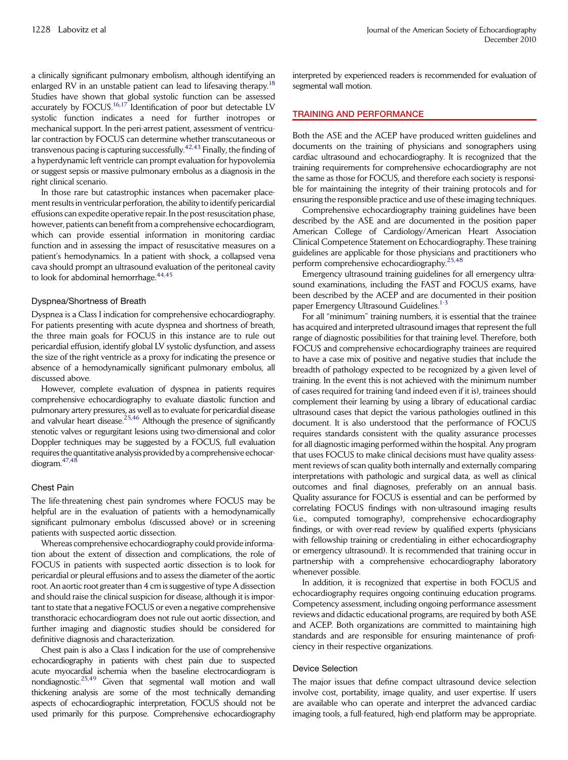a clinically significant pulmonary embolism, although identifying an enlarged RV in an unstable patient can lead to lifesaving therapy.<sup>[18](#page-5-0)</sup> Studies have shown that global systolic function can be assessed accurately by FOCUS.<sup>16,17</sup> Identification of poor but detectable LV systolic function indicates a need for further inotropes or mechanical support. In the peri-arrest patient, assessment of ventricular contraction by FOCUS can determine whether transcutaneous or transvenous pacing is capturing successfully.<sup> $42,43$ </sup> Finally, the finding of a hyperdynamic left ventricle can prompt evaluation for hypovolemia or suggest sepsis or massive pulmonary embolus as a diagnosis in the right clinical scenario.

In those rare but catastrophic instances when pacemaker placement results in ventricular perforation, the ability to identify pericardial effusions can expedite operative repair. In the post-resuscitation phase, however, patients can benefit from a comprehensive echocardiogram, which can provide essential information in monitoring cardiac function and in assessing the impact of resuscitative measures on a patient's hemodynamics. In a patient with shock, a collapsed vena cava should prompt an ultrasound evaluation of the peritoneal cavity to look for abdominal hemorrhage.<sup>[44,45](#page-5-0)</sup>

#### Dyspnea/Shortness of Breath

Dyspnea is a Class I indication for comprehensive echocardiography. For patients presenting with acute dyspnea and shortness of breath, the three main goals for FOCUS in this instance are to rule out pericardial effusion, identify global LV systolic dysfunction, and assess the size of the right ventricle as a proxy for indicating the presence or absence of a hemodynamically significant pulmonary embolus, all discussed above.

However, complete evaluation of dyspnea in patients requires comprehensive echocardiography to evaluate diastolic function and pulmonary artery pressures, as well as to evaluate for pericardial disease and valvular heart disease.<sup>[25,46](#page-5-0)</sup> Although the presence of significantly stenotic valves or regurgitant lesions using two-dimensional and color Doppler techniques may be suggested by a FOCUS, full evaluation requires the quantitative analysis provided by a comprehensive echocardiogram[.47,48](#page-5-0)

#### Chest Pain

The life-threatening chest pain syndromes where FOCUS may be helpful are in the evaluation of patients with a hemodynamically significant pulmonary embolus (discussed above) or in screening patients with suspected aortic dissection.

Whereas comprehensive echocardiography could provide information about the extent of dissection and complications, the role of FOCUS in patients with suspected aortic dissection is to look for pericardial or pleural effusions and to assess the diameter of the aortic root. An aortic root greater than 4 cm is suggestive of type A dissection and should raise the clinical suspicion for disease, although it is important to state that a negative FOCUS or even a negative comprehensive transthoracic echocardiogram does not rule out aortic dissection, and further imaging and diagnostic studies should be considered for definitive diagnosis and characterization.

Chest pain is also a Class I indication for the use of comprehensive echocardiography in patients with chest pain due to suspected acute myocardial ischemia when the baseline electrocardiogram is nondiagnostic[.25,49](#page-5-0) Given that segmental wall motion and wall thickening analysis are some of the most technically demanding aspects of echocardiographic interpretation, FOCUS should not be used primarily for this purpose. Comprehensive echocardiography interpreted by experienced readers is recommended for evaluation of segmental wall motion.

## TRAINING AND PERFORMANCE

Both the ASE and the ACEP have produced written guidelines and documents on the training of physicians and sonographers using cardiac ultrasound and echocardiography. It is recognized that the training requirements for comprehensive echocardiography are not the same as those for FOCUS, and therefore each society is responsible for maintaining the integrity of their training protocols and for ensuring the responsible practice and use of these imaging techniques.

Comprehensive echocardiography training guidelines have been described by the ASE and are documented in the position paper American College of Cardiology/American Heart Association Clinical Competence Statement on Echocardiography. These training guidelines are applicable for those physicians and practitioners who perform comprehensive echocardiography.[25,48](#page-5-0)

Emergency ultrasound training guidelines for all emergency ultrasound examinations, including the FAST and FOCUS exams, have been described by the ACEP and are documented in their position paper Emergency Ultrasound Guidelines.<sup>[1-3](#page-4-0)</sup>

For all "minimum" training numbers, it is essential that the trainee has acquired and interpreted ultrasound images that represent the full range of diagnostic possibilities for that training level. Therefore, both FOCUS and comprehensive echocardiography trainees are required to have a case mix of positive and negative studies that include the breadth of pathology expected to be recognized by a given level of training. In the event this is not achieved with the minimum number of cases required for training (and indeed even if it is), trainees should complement their learning by using a library of educational cardiac ultrasound cases that depict the various pathologies outlined in this document. It is also understood that the performance of FOCUS requires standards consistent with the quality assurance processes for all diagnostic imaging performed within the hospital. Any program that uses FOCUS to make clinical decisions must have quality assessment reviews of scan quality both internally and externally comparing interpretations with pathologic and surgical data, as well as clinical outcomes and final diagnoses, preferably on an annual basis. Quality assurance for FOCUS is essential and can be performed by correlating FOCUS findings with non-ultrasound imaging results (i.e., computed tomography), comprehensive echocardiography findings, or with over-read review by qualified experts (physicians with fellowship training or credentialing in either echocardiography or emergency ultrasound). It is recommended that training occur in partnership with a comprehensive echocardiography laboratory whenever possible.

In addition, it is recognized that expertise in both FOCUS and echocardiography requires ongoing continuing education programs. Competency assessment, including ongoing performance assessment reviews and didactic educational programs, are required by both ASE and ACEP. Both organizations are committed to maintaining high standards and are responsible for ensuring maintenance of proficiency in their respective organizations.

#### Device Selection

The major issues that define compact ultrasound device selection involve cost, portability, image quality, and user expertise. If users are available who can operate and interpret the advanced cardiac imaging tools, a full-featured, high-end platform may be appropriate.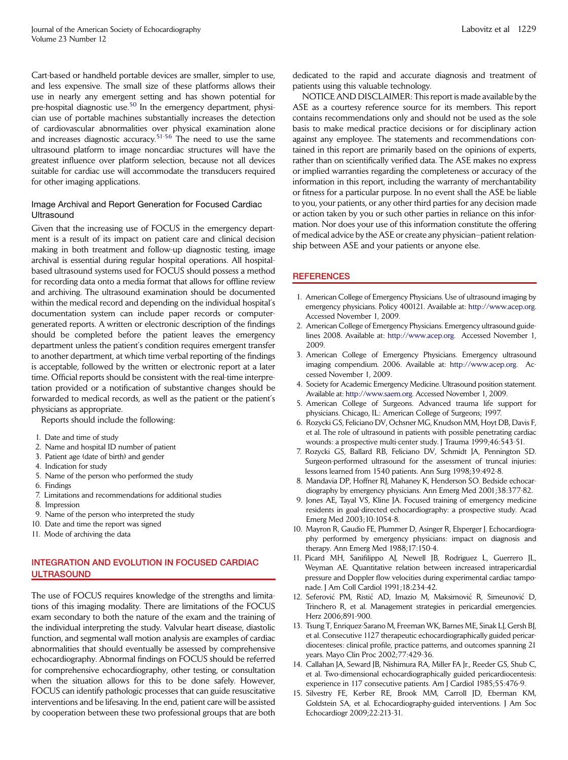<span id="page-4-0"></span>Cart-based or handheld portable devices are smaller, simpler to use, and less expensive. The small size of these platforms allows their use in nearly any emergent setting and has shown potential for pre-hospital diagnostic use.<sup>[50](#page-5-0)</sup> In the emergency department, physician use of portable machines substantially increases the detection of cardiovascular abnormalities over physical examination alone and increases diagnostic accuracy.  $51-56$  The need to use the same ultrasound platform to image noncardiac structures will have the greatest influence over platform selection, because not all devices suitable for cardiac use will accommodate the transducers required for other imaging applications.

## Image Archival and Report Generation for Focused Cardiac **Ultrasound**

Given that the increasing use of FOCUS in the emergency department is a result of its impact on patient care and clinical decision making in both treatment and follow-up diagnostic testing, image archival is essential during regular hospital operations. All hospitalbased ultrasound systems used for FOCUS should possess a method for recording data onto a media format that allows for offline review and archiving. The ultrasound examination should be documented within the medical record and depending on the individual hospital's documentation system can include paper records or computergenerated reports. A written or electronic description of the findings should be completed before the patient leaves the emergency department unless the patient's condition requires emergent transfer to another department, at which time verbal reporting of the findings is acceptable, followed by the written or electronic report at a later time. Official reports should be consistent with the real-time interpretation provided or a notification of substantive changes should be forwarded to medical records, as well as the patient or the patient's physicians as appropriate.

Reports should include the following:

- 1. Date and time of study
- 2. Name and hospital ID number of patient
- 3. Patient age (date of birth) and gender
- 4. Indication for study
- 5. Name of the person who performed the study
- 6. Findings
- 7. Limitations and recommendations for additional studies
- 8. Impression
- 9. Name of the person who interpreted the study
- 10. Date and time the report was signed
- 11. Mode of archiving the data

## INTEGRATION AND EVOLUTION IN FOCUSED CARDIAC ULTRASOUND

The use of FOCUS requires knowledge of the strengths and limitations of this imaging modality. There are limitations of the FOCUS exam secondary to both the nature of the exam and the training of the individual interpreting the study. Valvular heart disease, diastolic function, and segmental wall motion analysis are examples of cardiac abnormalities that should eventually be assessed by comprehensive echocardiography. Abnormal findings on FOCUS should be referred for comprehensive echocardiography, other testing, or consultation when the situation allows for this to be done safely. However, FOCUS can identify pathologic processes that can guide resuscitative interventions and be lifesaving. In the end, patient care will be assisted by cooperation between these two professional groups that are both

dedicated to the rapid and accurate diagnosis and treatment of patients using this valuable technology.

NOTICE AND DISCLAIMER: This report is made available by the ASE as a courtesy reference source for its members. This report contains recommendations only and should not be used as the sole basis to make medical practice decisions or for disciplinary action against any employee. The statements and recommendations contained in this report are primarily based on the opinions of experts, rather than on scientifically verified data. The ASE makes no express or implied warranties regarding the completeness or accuracy of the information in this report, including the warranty of merchantability or fitness for a particular purpose. In no event shall the ASE be liable to you, your patients, or any other third parties for any decision made or action taken by you or such other parties in reliance on this information. Nor does your use of this information constitute the offering of medical advice by the ASE or create any physician–patient relationship between ASE and your patients or anyone else.

## **REFERENCES**

- 1. American College of Emergency Physicians. Use of ultrasound imaging by emergency physicians. Policy 400121. Available at: [http://www.acep.org.](http://www.acep.org) Accessed November 1, 2009.
- 2. American College of Emergency Physicians. Emergency ultrasound guidelines 2008. Available at: [http://www.acep.org.](http://www.acep.org) Accessed November 1, 2009.
- 3. American College of Emergency Physicians. Emergency ultrasound imaging compendium. 2006. Available at: [http://www.acep.org.](http://www.acep.org) Accessed November 1, 2009.
- 4. Society for Academic Emergency Medicine. Ultrasound position statement. Available at: [http://www.saem.org.](http://www.saem.org) Accessed November 1, 2009.
- 5. American College of Surgeons. Advanced trauma life support for physicians. Chicago, IL: American College of Surgeons; 1997.
- 6. Rozycki GS, Feliciano DV, Ochsner MG, Knudson MM, Hoyt DB, Davis F, et al. The role of ultrasound in patients with possible penetrating cardiac wounds: a prospective multi-center study. J Trauma 1999;46:543-51.
- 7. Rozycki GS, Ballard RB, Feliciano DV, Schmidt JA, Pennington SD. Surgeon-performed ultrasound for the assessment of truncal injuries: lessons learned from 1540 patients. Ann Surg 1998;39:492-8.
- 8. Mandavia DP, Hoffner RJ, Mahaney K, Henderson SO. Bedside echocardiography by emergency physicians. Ann Emerg Med 2001;38:377-82.
- 9. Jones AE, Tayal VS, Kline JA. Focused training of emergency medicine residents in goal-directed echocardiography: a prospective study. Acad Emerg Med 2003;10:1054-8.
- 10. Mayron R, Gaudio FE, Plummer D, Asinger R, Elsperger J. Echocardiography performed by emergency physicians: impact on diagnosis and therapy. Ann Emerg Med 1988;17:150-4.
- 11. Picard MH, Sanifilippo AJ, Newell JB, Rodriguez L, Guerrero JL, Weyman AE. Quantitative relation between increased intrapericardial pressure and Doppler flow velocities during experimental cardiac tamponade. J Am Coll Cardiol 1991;18:234-42.
- 12. Seferovic PM, Ristic AD, Imazio M, Maksimovic R, Simeunovic D, Trinchero R, et al. Management strategies in pericardial emergencies. Herz 2006;891-900.
- 13. Tsung T, Enriquez-Sarano M, Freeman WK, Barnes ME, Sinak LJ, Gersh BJ, et al. Consecutive 1127 therapeutic echocardiographically guided pericardiocenteses: clinical profile, practice patterns, and outcomes spanning 21 years. Mayo Clin Proc 2002;77:429-36.
- 14. Callahan JA, Seward JB, Nishimura RA, Miller FA Jr., Reeder GS, Shub C, et al. Two-dimensional echocardiographically guided pericardiocentesis: experience in 117 consecutive patients. Am J Cardiol 1985;55:476-9.
- 15. Silvestry FE, Kerber RE, Brook MM, Carroll JD, Eberman KM, Goldstein SA, et al. Echocardiography-guided interventions. J Am Soc Echocardiogr 2009;22:213-31.